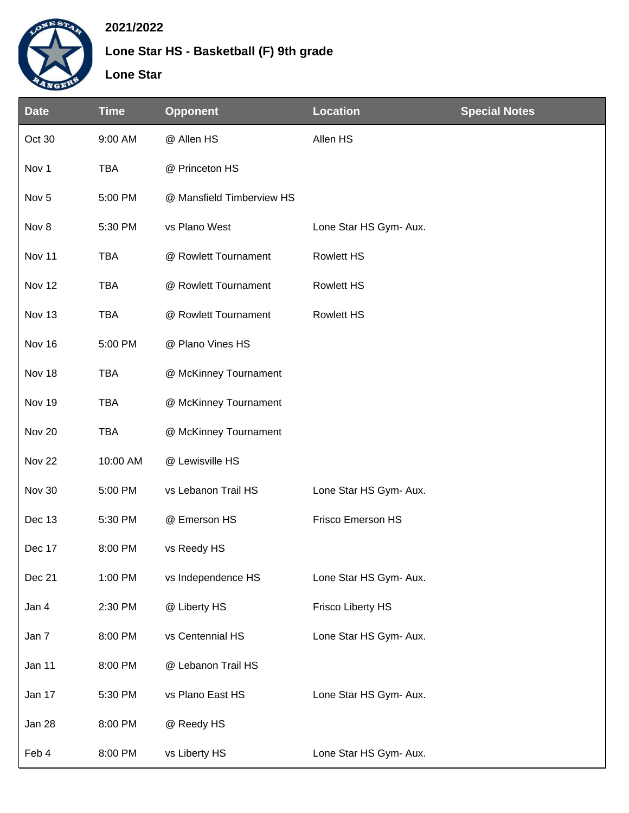

## **2021/2022**

## **Lone Star HS - Basketball (F) 9th grade**

**Lone Star**

| <b>Date</b>      | <b>Time</b> | <b>Opponent</b>           | <b>Location</b>        | <b>Special Notes</b> |
|------------------|-------------|---------------------------|------------------------|----------------------|
| Oct 30           | 9:00 AM     | @ Allen HS                | Allen HS               |                      |
| Nov 1            | <b>TBA</b>  | @ Princeton HS            |                        |                      |
| Nov <sub>5</sub> | 5:00 PM     | @ Mansfield Timberview HS |                        |                      |
| Nov 8            | 5:30 PM     | vs Plano West             | Lone Star HS Gym- Aux. |                      |
| Nov 11           | <b>TBA</b>  | @ Rowlett Tournament      | <b>Rowlett HS</b>      |                      |
| Nov 12           | <b>TBA</b>  | @ Rowlett Tournament      | <b>Rowlett HS</b>      |                      |
| Nov 13           | <b>TBA</b>  | @ Rowlett Tournament      | <b>Rowlett HS</b>      |                      |
| Nov 16           | 5:00 PM     | @ Plano Vines HS          |                        |                      |
| Nov 18           | <b>TBA</b>  | @ McKinney Tournament     |                        |                      |
| Nov 19           | <b>TBA</b>  | @ McKinney Tournament     |                        |                      |
| Nov 20           | <b>TBA</b>  | @ McKinney Tournament     |                        |                      |
| <b>Nov 22</b>    | 10:00 AM    | @ Lewisville HS           |                        |                      |
| Nov 30           | 5:00 PM     | vs Lebanon Trail HS       | Lone Star HS Gym- Aux. |                      |
| Dec 13           | 5:30 PM     | @ Emerson HS              | Frisco Emerson HS      |                      |
| Dec 17           | 8:00 PM     | vs Reedy HS               |                        |                      |
| Dec 21           | 1:00 PM     | vs Independence HS        | Lone Star HS Gym- Aux. |                      |
| Jan 4            | 2:30 PM     | @ Liberty HS              | Frisco Liberty HS      |                      |
| Jan 7            | 8:00 PM     | vs Centennial HS          | Lone Star HS Gym- Aux. |                      |
| Jan 11           | 8:00 PM     | @ Lebanon Trail HS        |                        |                      |
| Jan 17           | 5:30 PM     | vs Plano East HS          | Lone Star HS Gym- Aux. |                      |
| Jan 28           | 8:00 PM     | @ Reedy HS                |                        |                      |
| Feb 4            | 8:00 PM     | vs Liberty HS             | Lone Star HS Gym- Aux. |                      |